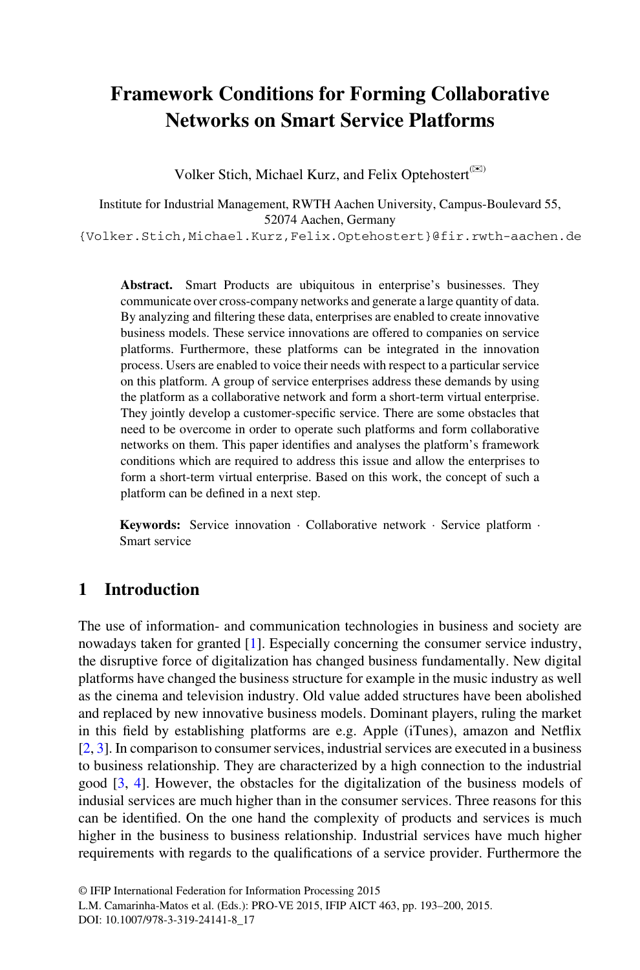# **Framework Conditions for Forming Collaborative Networks on Smart Service Platforms**

Volker Stich, Michael Kurz, and Felix Optehostert<sup>( $\mathbb{Z}$ )</sub></sup>

Institute for Industrial Management, RWTH Aachen University, Campus-Boulevard 55, 52074 Aachen, Germany

{Volker.Stich,Michael.Kurz,Felix.Optehostert}@fir.rwth-aachen.de

**Abstract.** Smart Products are ubiquitous in enterprise's businesses. They communicate over cross-company networks and generate a large quantity of data. By analyzing and filtering these data, enterprises are enabled to create innovative business models. These service innovations are offered to companies on service platforms. Furthermore, these platforms can be integrated in the innovation process. Users are enabled to voice their needs with respect to a particular service on this platform. A group of service enterprises address these demands by using the platform as a collaborative network and form a short-term virtual enterprise. They jointly develop a customer-specific service. There are some obstacles that need to be overcome in order to operate such platforms and form collaborative networks on them. This paper identifies and analyses the platform's framework conditions which are required to address this issue and allow the enterprises to form a short-term virtual enterprise. Based on this work, the concept of such a platform can be defined in a next step.

**Keywords:** Service innovation · Collaborative network · Service platform · Smart service

## **1 Introduction**

The use of information- and communication technologies in business and society are nowadays taken for granted [\[1\]](#page-6-0). Especially concerning the consumer service industry, the disruptive force of digitalization has changed business fundamentally. New digital platforms have changed the business structure for example in the music industry as well as the cinema and television industry. Old value added structures have been abolished and replaced by new innovative business models. Dominant players, ruling the market in this field by establishing platforms are e.g. Apple (iTunes), amazon and Netflix [\[2](#page-6-0), [3\]](#page-6-0). In comparison to consumer services, industrial services are executed in a business to business relationship. They are characterized by a high connection to the industrial good [[3,](#page-6-0) [4\]](#page-6-0). However, the obstacles for the digitalization of the business models of indusial services are much higher than in the consumer services. Three reasons for this can be identified. On the one hand the complexity of products and services is much higher in the business to business relationship. Industrial services have much higher requirements with regards to the qualifications of a service provider. Furthermore the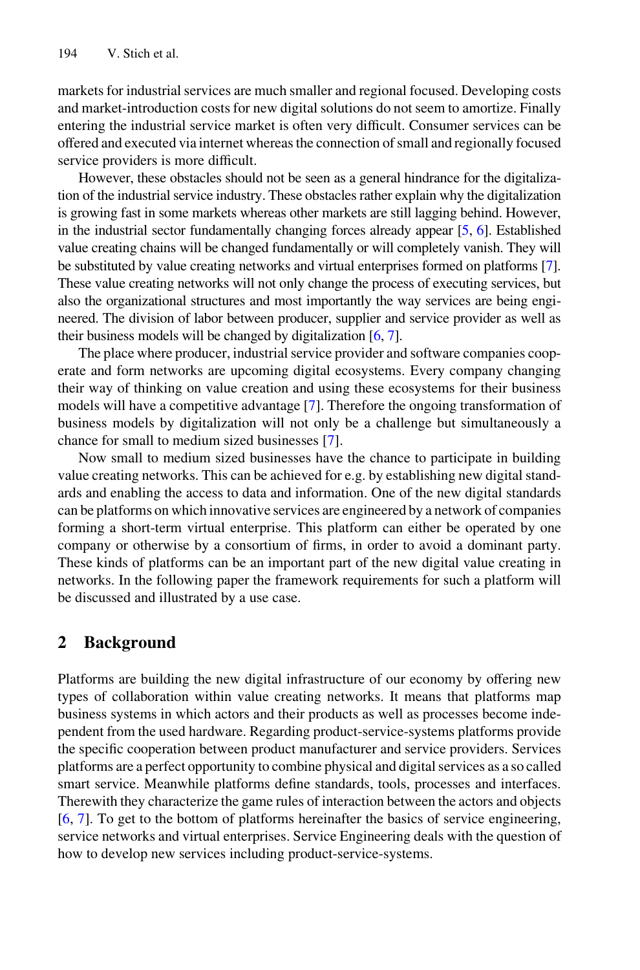markets for industrial services are much smaller and regional focused. Developing costs and market-introduction costs for new digital solutions do not seem to amortize. Finally entering the industrial service market is often very difficult. Consumer services can be offered and executed via internet whereas the connection of small and regionally focused service providers is more difficult.

However, these obstacles should not be seen as a general hindrance for the digitalization of the industrial service industry. These obstacles rather explain why the digitalization is growing fast in some markets whereas other markets are still lagging behind. However, in the industrial sector fundamentally changing forces already appear [\[5](#page-6-0), [6](#page-6-0)]. Established value creating chains will be changed fundamentally or will completely vanish. They will be substituted by value creating networks and virtual enterprises formed on platforms [\[7\]](#page-6-0). These value creating networks will not only change the process of executing services, but also the organizational structures and most importantly the way services are being engineered. The division of labor between producer, supplier and service provider as well as their business models will be changed by digitalization [[6, 7](#page-6-0)].

The place where producer, industrial service provider and software companies cooperate and form networks are upcoming digital ecosystems. Every company changing their way of thinking on value creation and using these ecosystems for their business models will have a competitive advantage [[7\]](#page-6-0). Therefore the ongoing transformation of business models by digitalization will not only be a challenge but simultaneously a chance for small to medium sized businesses [[7\]](#page-6-0).

Now small to medium sized businesses have the chance to participate in building value creating networks. This can be achieved for e.g. by establishing new digital standards and enabling the access to data and information. One of the new digital standards can be platforms on which innovative services are engineered by a network of companies forming a short-term virtual enterprise. This platform can either be operated by one company or otherwise by a consortium of firms, in order to avoid a dominant party. These kinds of platforms can be an important part of the new digital value creating in networks. In the following paper the framework requirements for such a platform will be discussed and illustrated by a use case.

#### **2 Background**

Platforms are building the new digital infrastructure of our economy by offering new types of collaboration within value creating networks. It means that platforms map business systems in which actors and their products as well as processes become inde‐ pendent from the used hardware. Regarding product-service-systems platforms provide the specific cooperation between product manufacturer and service providers. Services platforms are a perfect opportunity to combine physical and digital services as a so called smart service. Meanwhile platforms define standards, tools, processes and interfaces. Therewith they characterize the game rules of interaction between the actors and objects [\[6](#page-6-0), [7](#page-6-0)]. To get to the bottom of platforms hereinafter the basics of service engineering, service networks and virtual enterprises. Service Engineering deals with the question of how to develop new services including product-service-systems.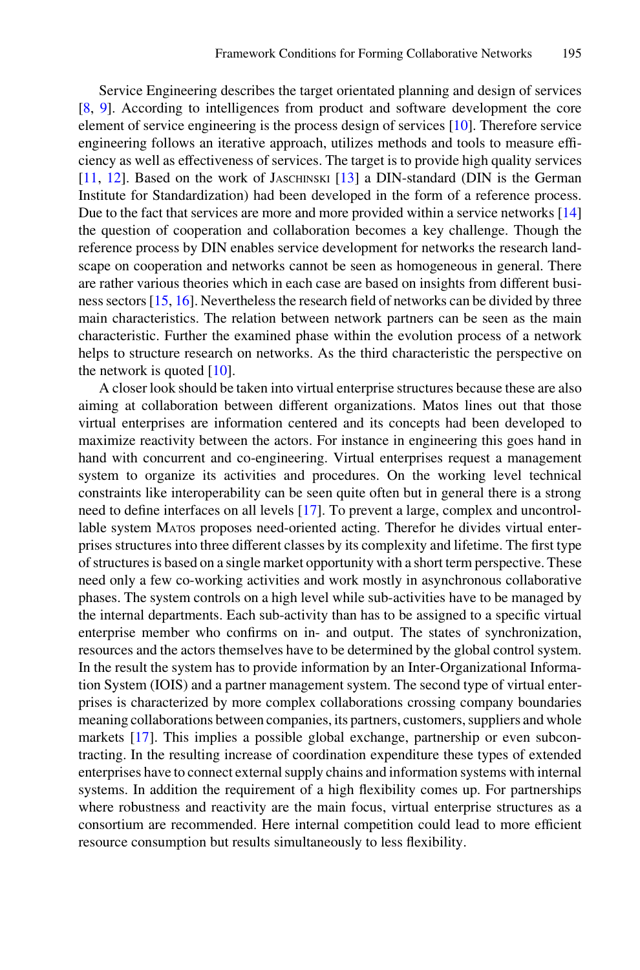Service Engineering describes the target orientated planning and design of services [\[8](#page-6-0), [9\]](#page-6-0). According to intelligences from product and software development the core element of service engineering is the process design of services [\[10](#page-6-0)]. Therefore service engineering follows an iterative approach, utilizes methods and tools to measure efficiency as well as effectiveness of services. The target is to provide high quality services [\[11](#page-6-0), [12](#page-6-0)]. Based on the work of JASCHINSKI [[13\]](#page-6-0) a DIN-standard (DIN is the German Institute for Standardization) had been developed in the form of a reference process. Due to the fact that services are more and more provided within a service networks [\[14](#page-6-0)] the question of cooperation and collaboration becomes a key challenge. Though the reference process by DIN enables service development for networks the research land‐ scape on cooperation and networks cannot be seen as homogeneous in general. There are rather various theories which in each case are based on insights from different business sectors [[15, 16](#page-7-0)]. Nevertheless the research field of networks can be divided by three main characteristics. The relation between network partners can be seen as the main characteristic. Further the examined phase within the evolution process of a network helps to structure research on networks. As the third characteristic the perspective on the network is quoted [\[10](#page-6-0)].

A closer look should be taken into virtual enterprise structures because these are also aiming at collaboration between different organizations. Matos lines out that those virtual enterprises are information centered and its concepts had been developed to maximize reactivity between the actors. For instance in engineering this goes hand in hand with concurrent and co-engineering. Virtual enterprises request a management system to organize its activities and procedures. On the working level technical constraints like interoperability can be seen quite often but in general there is a strong need to define interfaces on all levels [[17\]](#page-7-0). To prevent a large, complex and uncontrollable system MATOS proposes need-oriented acting. Therefor he divides virtual enter‐ prises structures into three different classes by its complexity and lifetime. The first type of structures is based on a single market opportunity with a short term perspective. These need only a few co-working activities and work mostly in asynchronous collaborative phases. The system controls on a high level while sub-activities have to be managed by the internal departments. Each sub-activity than has to be assigned to a specific virtual enterprise member who confirms on in- and output. The states of synchronization, resources and the actors themselves have to be determined by the global control system. In the result the system has to provide information by an Inter-Organizational Information System (IOIS) and a partner management system. The second type of virtual enter‐ prises is characterized by more complex collaborations crossing company boundaries meaning collaborations between companies, its partners, customers, suppliers and whole markets [[17\]](#page-7-0). This implies a possible global exchange, partnership or even subcontracting. In the resulting increase of coordination expenditure these types of extended enterprises have to connect external supply chains and information systems with internal systems. In addition the requirement of a high flexibility comes up. For partnerships where robustness and reactivity are the main focus, virtual enterprise structures as a consortium are recommended. Here internal competition could lead to more efficient resource consumption but results simultaneously to less flexibility.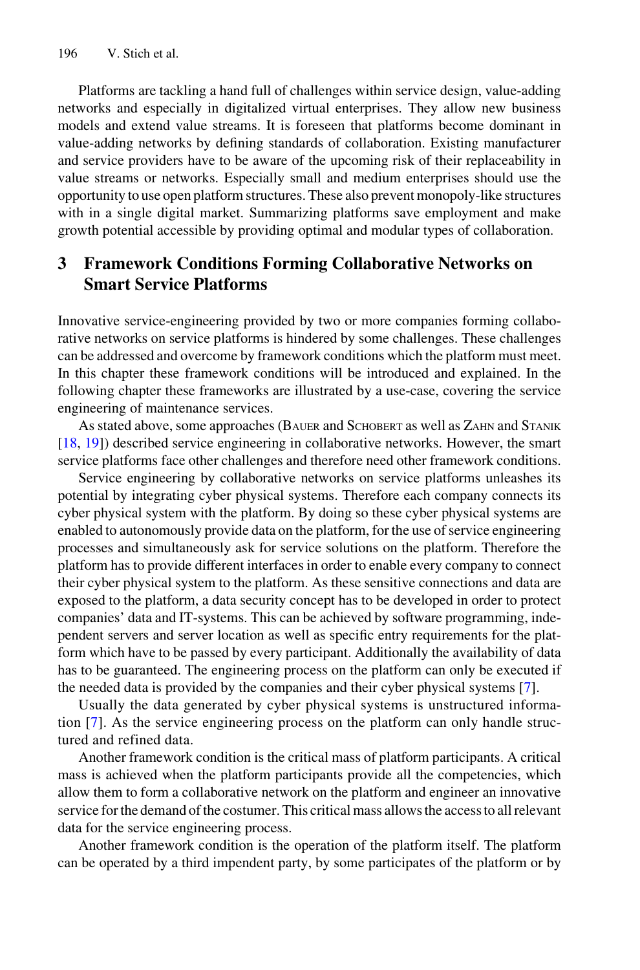Platforms are tackling a hand full of challenges within service design, value-adding networks and especially in digitalized virtual enterprises. They allow new business models and extend value streams. It is foreseen that platforms become dominant in value-adding networks by defining standards of collaboration. Existing manufacturer and service providers have to be aware of the upcoming risk of their replaceability in value streams or networks. Especially small and medium enterprises should use the opportunity to use open platform structures. These also prevent monopoly-like structures with in a single digital market. Summarizing platforms save employment and make growth potential accessible by providing optimal and modular types of collaboration.

## **3 Framework Conditions Forming Collaborative Networks on Smart Service Platforms**

Innovative service-engineering provided by two or more companies forming collaborative networks on service platforms is hindered by some challenges. These challenges can be addressed and overcome by framework conditions which the platform must meet. In this chapter these framework conditions will be introduced and explained. In the following chapter these frameworks are illustrated by a use-case, covering the service engineering of maintenance services.

As stated above, some approaches (BAUER and SCHOBERT as well as ZAHN and STANIK [\[18](#page-7-0), [19](#page-7-0)]) described service engineering in collaborative networks. However, the smart service platforms face other challenges and therefore need other framework conditions.

Service engineering by collaborative networks on service platforms unleashes its potential by integrating cyber physical systems. Therefore each company connects its cyber physical system with the platform. By doing so these cyber physical systems are enabled to autonomously provide data on the platform, for the use of service engineering processes and simultaneously ask for service solutions on the platform. Therefore the platform has to provide different interfaces in order to enable every company to connect their cyber physical system to the platform. As these sensitive connections and data are exposed to the platform, a data security concept has to be developed in order to protect companies' data and IT-systems. This can be achieved by software programming, independent servers and server location as well as specific entry requirements for the plat‐ form which have to be passed by every participant. Additionally the availability of data has to be guaranteed. The engineering process on the platform can only be executed if the needed data is provided by the companies and their cyber physical systems [[7\]](#page-6-0).

Usually the data generated by cyber physical systems is unstructured informa‐ tion [\[7](#page-6-0)]. As the service engineering process on the platform can only handle struc‐ tured and refined data.

Another framework condition is the critical mass of platform participants. A critical mass is achieved when the platform participants provide all the competencies, which allow them to form a collaborative network on the platform and engineer an innovative service for the demand of the costumer. This critical mass allows the access to all relevant data for the service engineering process.

Another framework condition is the operation of the platform itself. The platform can be operated by a third impendent party, by some participates of the platform or by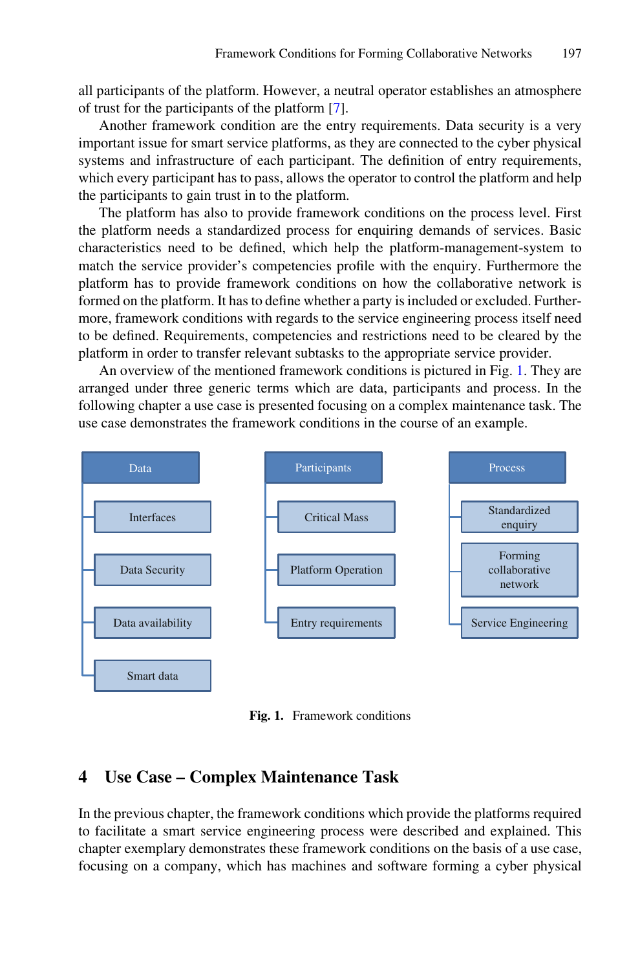all participants of the platform. However, a neutral operator establishes an atmosphere of trust for the participants of the platform [[7\]](#page-6-0).

Another framework condition are the entry requirements. Data security is a very important issue for smart service platforms, as they are connected to the cyber physical systems and infrastructure of each participant. The definition of entry requirements, which every participant has to pass, allows the operator to control the platform and help the participants to gain trust in to the platform.

The platform has also to provide framework conditions on the process level. First the platform needs a standardized process for enquiring demands of services. Basic characteristics need to be defined, which help the platform-management-system to match the service provider's competencies profile with the enquiry. Furthermore the platform has to provide framework conditions on how the collaborative network is formed on the platform. It has to define whether a party is included or excluded. Furthermore, framework conditions with regards to the service engineering process itself need to be defined. Requirements, competencies and restrictions need to be cleared by the platform in order to transfer relevant subtasks to the appropriate service provider.

An overview of the mentioned framework conditions is pictured in Fig. 1. They are arranged under three generic terms which are data, participants and process. In the following chapter a use case is presented focusing on a complex maintenance task. The use case demonstrates the framework conditions in the course of an example.



**Fig. 1.** Framework conditions

#### **4 Use Case – Complex Maintenance Task**

In the previous chapter, the framework conditions which provide the platforms required to facilitate a smart service engineering process were described and explained. This chapter exemplary demonstrates these framework conditions on the basis of a use case, focusing on a company, which has machines and software forming a cyber physical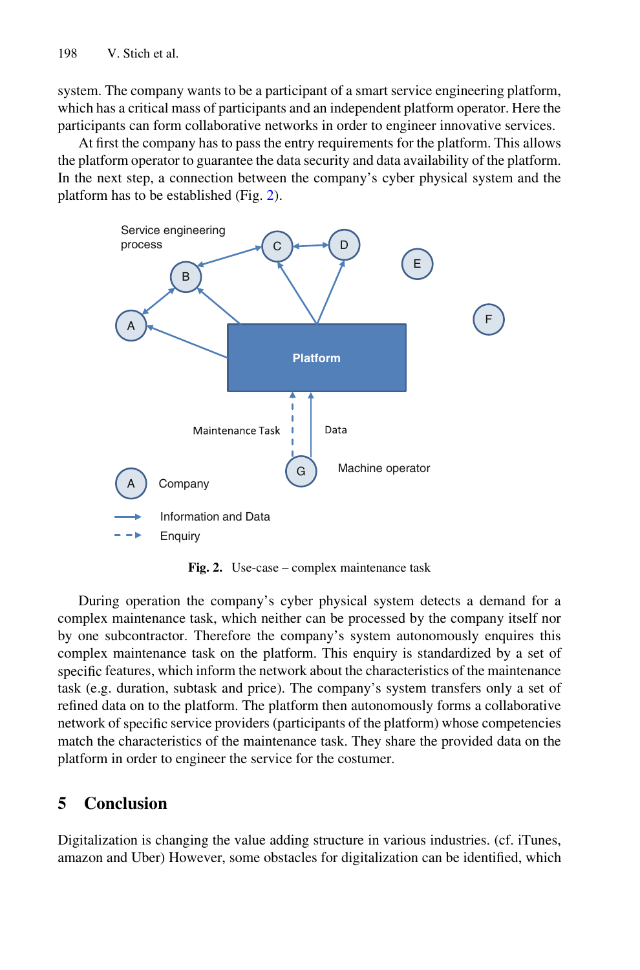system. The company wants to be a participant of a smart service engineering platform, which has a critical mass of participants and an independent platform operator. Here the participants can form collaborative networks in order to engineer innovative services.

At first the company has to pass the entry requirements for the platform. This allows the platform operator to guarantee the data security and data availability of the platform. In the next step, a connection between the company's cyber physical system and the platform has to be established (Fig. 2).



**Fig. 2.** Use-case – complex maintenance task

During operation the company's cyber physical system detects a demand for a complex maintenance task, which neither can be processed by the company itself nor by one subcontractor. Therefore the company's system autonomously enquires this complex maintenance task on the platform. This enquiry is standardized by a set of specific features, which inform the network about the characteristics of the maintenance task (e.g. duration, subtask and price). The company's system transfers only a set of refined data on to the platform. The platform then autonomously forms a collaborative network of specific service providers (participants of the platform) whose competencies match the characteristics of the maintenance task. They share the provided data on the platform in order to engineer the service for the costumer.

## **5 Conclusion**

Digitalization is changing the value adding structure in various industries. (cf. iTunes, amazon and Uber) However, some obstacles for digitalization can be identified, which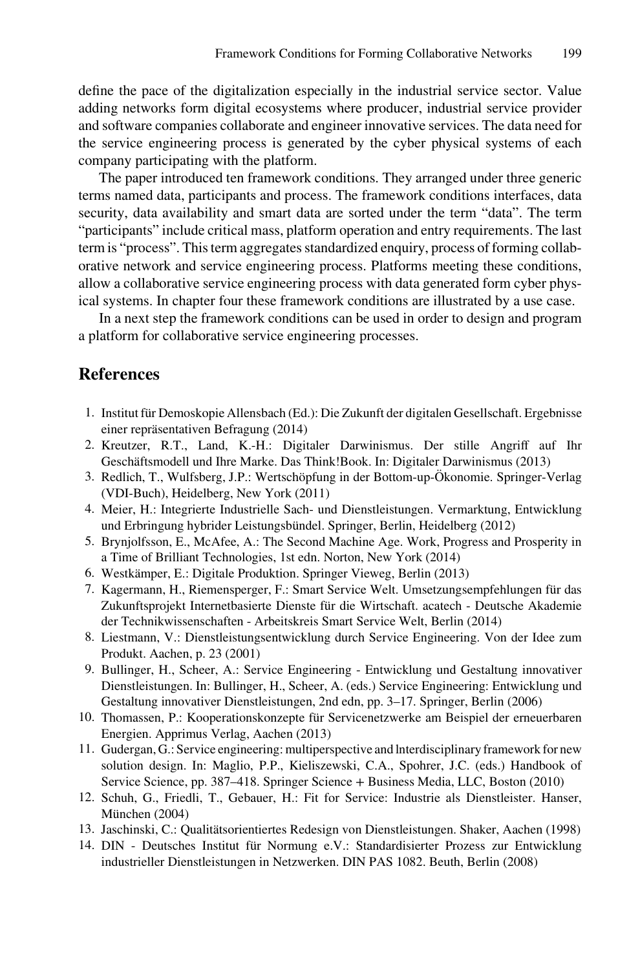<span id="page-6-0"></span>define the pace of the digitalization especially in the industrial service sector. Value adding networks form digital ecosystems where producer, industrial service provider and software companies collaborate and engineer innovative services. The data need for the service engineering process is generated by the cyber physical systems of each company participating with the platform.

The paper introduced ten framework conditions. They arranged under three generic terms named data, participants and process. The framework conditions interfaces, data security, data availability and smart data are sorted under the term "data". The term "participants" include critical mass, platform operation and entry requirements. The last term is "process". This term aggregates standardized enquiry, process of forming collab‐ orative network and service engineering process. Platforms meeting these conditions, allow a collaborative service engineering process with data generated form cyber phys‐ ical systems. In chapter four these framework conditions are illustrated by a use case.

In a next step the framework conditions can be used in order to design and program a platform for collaborative service engineering processes.

### **References**

- 1. Institut für Demoskopie Allensbach (Ed.): Die Zukunft der digitalen Gesellschaft. Ergebnisse einer repräsentativen Befragung (2014)
- 2. Kreutzer, R.T., Land, K.-H.: Digitaler Darwinismus. Der stille Angriff auf Ihr Geschäftsmodell und Ihre Marke. Das Think!Book. In: Digitaler Darwinismus (2013)
- 3. Redlich, T., Wulfsberg, J.P.: Wertschöpfung in der Bottom-up-Ökonomie. Springer-Verlag (VDI-Buch), Heidelberg, New York (2011)
- 4. Meier, H.: Integrierte Industrielle Sach- und Dienstleistungen. Vermarktung, Entwicklung und Erbringung hybrider Leistungsbündel. Springer, Berlin, Heidelberg (2012)
- 5. Brynjolfsson, E., McAfee, A.: The Second Machine Age. Work, Progress and Prosperity in a Time of Brilliant Technologies, 1st edn. Norton, New York (2014)
- 6. Westkämper, E.: Digitale Produktion. Springer Vieweg, Berlin (2013)
- 7. Kagermann, H., Riemensperger, F.: Smart Service Welt. Umsetzungsempfehlungen für das Zukunftsprojekt Internetbasierte Dienste für die Wirtschaft. acatech - Deutsche Akademie der Technikwissenschaften - Arbeitskreis Smart Service Welt, Berlin (2014)
- 8. Liestmann, V.: Dienstleistungsentwicklung durch Service Engineering. Von der Idee zum Produkt. Aachen, p. 23 (2001)
- 9. Bullinger, H., Scheer, A.: Service Engineering Entwicklung und Gestaltung innovativer Dienstleistungen. In: Bullinger, H., Scheer, A. (eds.) Service Engineering: Entwicklung und Gestaltung innovativer Dienstleistungen, 2nd edn, pp. 3–17. Springer, Berlin (2006)
- 10. Thomassen, P.: Kooperationskonzepte für Servicenetzwerke am Beispiel der erneuerbaren Energien. Apprimus Verlag, Aachen (2013)
- 11. Gudergan, G.: Service engineering: multiperspective and lnterdisciplinary framework for new solution design. In: Maglio, P.P., Kieliszewski, C.A., Spohrer, J.C. (eds.) Handbook of Service Science, pp. 387–418. Springer Science + Business Media, LLC, Boston (2010)
- 12. Schuh, G., Friedli, T., Gebauer, H.: Fit for Service: Industrie als Dienstleister. Hanser, München (2004)
- 13. Jaschinski, C.: Qualitätsorientiertes Redesign von Dienstleistungen. Shaker, Aachen (1998)
- 14. DIN Deutsches Institut für Normung e.V.: Standardisierter Prozess zur Entwicklung industrieller Dienstleistungen in Netzwerken. DIN PAS 1082. Beuth, Berlin (2008)